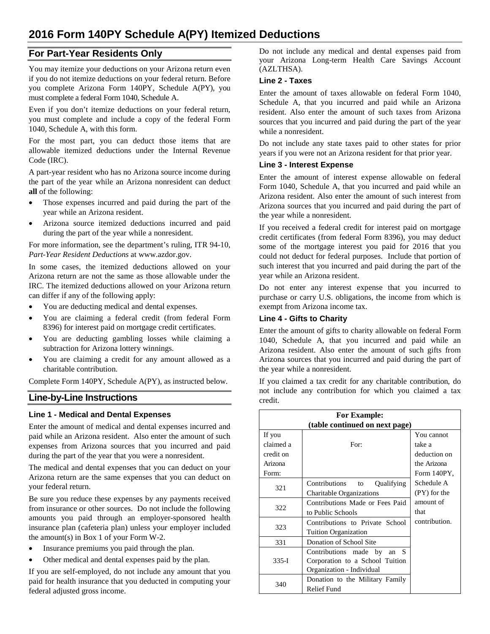# **2016 Form 140PY Schedule A(PY) Itemized Deductions**

# **For Part-Year Residents Only**

You may itemize your deductions on your Arizona return even if you do not itemize deductions on your federal return. Before you complete Arizona Form 140PY, Schedule A(PY), you must complete a federal Form 1040, Schedule A.

Even if you don't itemize deductions on your federal return, you must complete and include a copy of the federal Form 1040, Schedule A, with this form.

For the most part, you can deduct those items that are allowable itemized deductions under the Internal Revenue Code (IRC).

A part-year resident who has no Arizona source income during the part of the year while an Arizona nonresident can deduct **all** of the following:

- Those expenses incurred and paid during the part of the year while an Arizona resident.
- Arizona source itemized deductions incurred and paid during the part of the year while a nonresident.

For more information, see the department's ruling, ITR 94-10, *Part-Year Resident Deductions* at www.azdor.gov.

In some cases, the itemized deductions allowed on your Arizona return are not the same as those allowable under the IRC. The itemized deductions allowed on your Arizona return can differ if any of the following apply:

- You are deducting medical and dental expenses.
- You are claiming a federal credit (from federal Form 8396) for interest paid on mortgage credit certificates.
- You are deducting gambling losses while claiming a subtraction for Arizona lottery winnings.
- You are claiming a credit for any amount allowed as a charitable contribution.

Complete Form 140PY, Schedule A(PY), as instructed below.

# **Line-by-Line Instructions**

#### **Line 1 - Medical and Dental Expenses**

Enter the amount of medical and dental expenses incurred and paid while an Arizona resident. Also enter the amount of such expenses from Arizona sources that you incurred and paid during the part of the year that you were a nonresident.

The medical and dental expenses that you can deduct on your Arizona return are the same expenses that you can deduct on your federal return.

Be sure you reduce these expenses by any payments received from insurance or other sources. Do not include the following amounts you paid through an employer-sponsored health insurance plan (cafeteria plan) unless your employer included the amount(s) in Box 1 of your Form W-2.

- Insurance premiums you paid through the plan.
- Other medical and dental expenses paid by the plan.

If you are self-employed, do not include any amount that you paid for health insurance that you deducted in computing your federal adjusted gross income.

Do not include any medical and dental expenses paid from your Arizona Long-term Health Care Savings Account (AZLTHSA).

#### **Line 2 - Taxes**

Enter the amount of taxes allowable on federal Form 1040, Schedule A, that you incurred and paid while an Arizona resident. Also enter the amount of such taxes from Arizona sources that you incurred and paid during the part of the year while a nonresident.

Do not include any state taxes paid to other states for prior years if you were not an Arizona resident for that prior year.

## **Line 3 - Interest Expense**

Enter the amount of interest expense allowable on federal Form 1040, Schedule A, that you incurred and paid while an Arizona resident. Also enter the amount of such interest from Arizona sources that you incurred and paid during the part of the year while a nonresident.

If you received a federal credit for interest paid on mortgage credit certificates (from federal Form 8396), you may deduct some of the mortgage interest you paid for 2016 that you could not deduct for federal purposes. Include that portion of such interest that you incurred and paid during the part of the year while an Arizona resident.

Do not enter any interest expense that you incurred to purchase or carry U.S. obligations, the income from which is exempt from Arizona income tax.

## **Line 4 - Gifts to Charity**

Enter the amount of gifts to charity allowable on federal Form 1040, Schedule A, that you incurred and paid while an Arizona resident. Also enter the amount of such gifts from Arizona sources that you incurred and paid during the part of the year while a nonresident.

If you claimed a tax credit for any charitable contribution, do not include any contribution for which you claimed a tax credit.

| <b>For Example:</b>            |                                 |                |
|--------------------------------|---------------------------------|----------------|
| (table continued on next page) |                                 |                |
| If you                         |                                 | You cannot     |
| claimed a                      | For:                            | take a         |
| credit on                      |                                 | deduction on   |
| Arizona                        |                                 | the Arizona    |
| Form:                          |                                 | Form 140PY.    |
| 321                            | Contributions to<br>Qualifying  | Schedule A     |
|                                | Charitable Organizations        | $(PY)$ for the |
| 322                            | Contributions Made or Fees Paid | amount of      |
|                                | to Public Schools               | that           |
| 323                            | Contributions to Private School | contribution.  |
|                                | <b>Tuition Organization</b>     |                |
| 331                            | Donation of School Site         |                |
| $335-I$                        | Contributions made by<br>an $S$ |                |
|                                | Corporation to a School Tuition |                |
|                                | Organization - Individual       |                |
| 340                            | Donation to the Military Family |                |
|                                | Relief Fund                     |                |